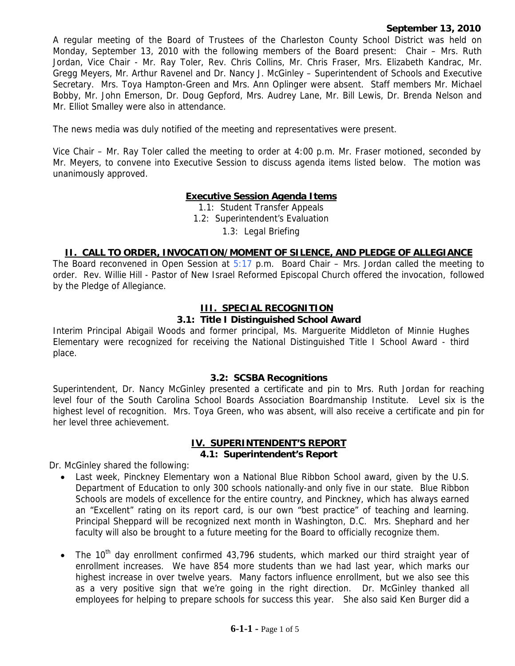#### **September 13, 2010**

A regular meeting of the Board of Trustees of the Charleston County School District was held on Monday, September 13, 2010 with the following members of the Board present: Chair – Mrs. Ruth Jordan, Vice Chair - Mr. Ray Toler, Rev. Chris Collins, Mr. Chris Fraser, Mrs. Elizabeth Kandrac, Mr. Gregg Meyers, Mr. Arthur Ravenel and Dr. Nancy J. McGinley – Superintendent of Schools and Executive Secretary. Mrs. Toya Hampton-Green and Mrs. Ann Oplinger were absent. Staff members Mr. Michael Bobby, Mr. John Emerson, Dr. Doug Gepford, Mrs. Audrey Lane, Mr. Bill Lewis, Dr. Brenda Nelson and Mr. Elliot Smalley were also in attendance.

The news media was duly notified of the meeting and representatives were present.

Vice Chair – Mr. Ray Toler called the meeting to order at 4:00 p.m. Mr. Fraser motioned, seconded by Mr. Meyers, to convene into Executive Session to discuss agenda items listed below. The motion was unanimously approved.

# **Executive Session Agenda Items**

1.1: Student Transfer Appeals

1.2: Superintendent's Evaluation

1.3: Legal Briefing

### **II. CALL TO ORDER, INVOCATION/MOMENT OF SILENCE, AND PLEDGE OF ALLEGIANCE**

The Board reconvened in Open Session at  $5:17$  p.m. Board Chair – Mrs. Jordan called the meeting to order. Rev. Willie Hill - Pastor of New Israel Reformed Episcopal Church offered the invocation, followed by the Pledge of Allegiance.

#### **III. SPECIAL RECOGNITION**

#### **3.1: Title I Distinguished School Award**

Interim Principal Abigail Woods and former principal, Ms. Marguerite Middleton of Minnie Hughes Elementary were recognized for receiving the National Distinguished Title I School Award - third place.

#### **3.2: SCSBA Recognitions**

Superintendent, Dr. Nancy McGinley presented a certificate and pin to Mrs. Ruth Jordan for reaching level four of the South Carolina School Boards Association Boardmanship Institute. Level six is the highest level of recognition. Mrs. Toya Green, who was absent, will also receive a certificate and pin for her level three achievement.

#### **IV. SUPERINTENDENT'S REPORT 4.1: Superintendent's Report**

Dr. McGinley shared the following:

- Last week, Pinckney Elementary won a National Blue Ribbon School award, given by the U.S. Department of Education to only 300 schools nationally-and only five in our state. Blue Ribbon Schools are models of excellence for the entire country, and Pinckney, which has always earned an "Excellent" rating on its report card, is our own "best practice" of teaching and learning. Principal Sheppard will be recognized next month in Washington, D.C. Mrs. Shephard and her faculty will also be brought to a future meeting for the Board to officially recognize them.
- The  $10<sup>th</sup>$  day enrollment confirmed 43,796 students, which marked our third straight year of enrollment increases. We have 854 more students than we had last year, which marks our highest increase in over twelve years. Many factors influence enrollment, but we also see this as a very positive sign that we're going in the right direction. Dr. McGinley thanked all employees for helping to prepare schools for success this year. She also said Ken Burger did a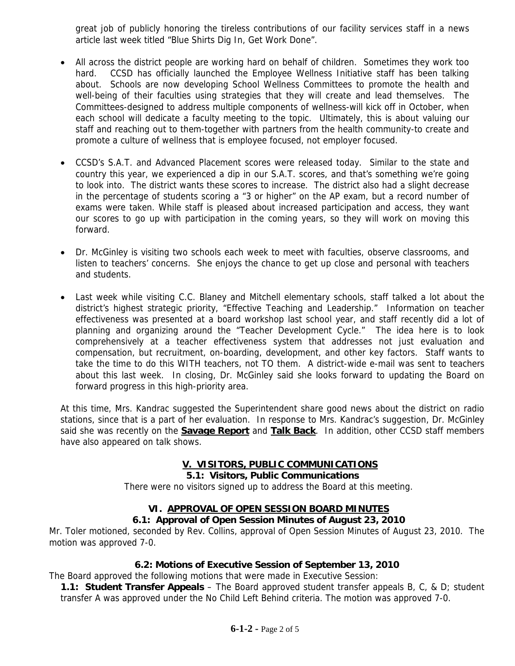great job of publicly honoring the tireless contributions of our facility services staff in a news article last week titled "Blue Shirts Dig In, Get Work Done".

- All across the district people are working hard on behalf of children. Sometimes they work too hard. CCSD has officially launched the Employee Wellness Initiative staff has been talking about. Schools are now developing School Wellness Committees to promote the health and well-being of their faculties using strategies that they will create and lead themselves. The Committees-designed to address multiple components of wellness-will kick off in October, when each school will dedicate a faculty meeting to the topic. Ultimately, this is about valuing our staff and reaching out to them-together with partners from the health community-to create and promote a culture of wellness that is employee focused, not employer focused.
- CCSD's S.A.T. and Advanced Placement scores were released today. Similar to the state and country this year, we experienced a dip in our S.A.T. scores, and that's something we're going to look into. The district wants these scores to increase. The district also had a slight decrease in the percentage of students scoring a "3 or higher" on the AP exam, but a record number of exams were taken. While staff is pleased about increased participation and access, they want our scores to go up with participation in the coming years, so they will work on moving this forward.
- Dr. McGinley is visiting two schools each week to meet with faculties, observe classrooms, and listen to teachers' concerns. She enjoys the chance to get up close and personal with teachers and students.
- Last week while visiting C.C. Blaney and Mitchell elementary schools, staff talked a lot about the district's highest strategic priority, "Effective Teaching and Leadership." Information on teacher effectiveness was presented at a board workshop last school year, and staff recently did a lot of planning and organizing around the "Teacher Development Cycle." The idea here is to look comprehensively at a teacher effectiveness system that addresses not just evaluation and compensation, but recruitment, on-boarding, development, and other key factors. Staff wants to take the time to do this WITH teachers, not TO them. A district-wide e-mail was sent to teachers about this last week. In closing, Dr. McGinley said she looks forward to updating the Board on forward progress in this high-priority area.

At this time, Mrs. Kandrac suggested the Superintendent share good news about the district on radio stations, since that is a part of her evaluation. In response to Mrs. Kandrac's suggestion, Dr. McGinley said she was recently on the **Savage Report** and **Talk Back**. In addition, other CCSD staff members have also appeared on talk shows.

## **V. VISITORS, PUBLIC COMMUNICATIONS**

### **5.1: Visitors, Public Communications**

There were no visitors signed up to address the Board at this meeting.

## **VI. APPROVAL OF OPEN SESSION BOARD MINUTES**

### **6.1: Approval of Open Session Minutes of August 23, 2010**

Mr. Toler motioned, seconded by Rev. Collins, approval of Open Session Minutes of August 23, 2010. The motion was approved 7-0.

## **6.2: Motions of Executive Session of September 13, 2010**

The Board approved the following motions that were made in Executive Session:

**1.1: Student Transfer Appeals** – The Board approved student transfer appeals B, C, & D; student transfer A was approved under the No Child Left Behind criteria. The motion was approved 7-0.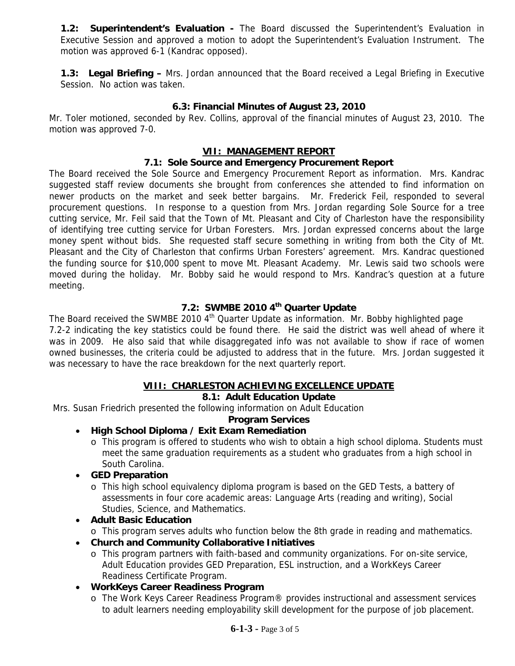**1.2: Superintendent's Evaluation -** The Board discussed the Superintendent's Evaluation in Executive Session and approved a motion to adopt the Superintendent's Evaluation Instrument. The motion was approved 6-1 (Kandrac opposed).

**1.3: Legal Briefing –** Mrs. Jordan announced that the Board received a Legal Briefing in Executive Session. No action was taken.

### **6.3: Financial Minutes of August 23, 2010**

Mr. Toler motioned, seconded by Rev. Collins, approval of the financial minutes of August 23, 2010. The motion was approved 7-0.

### **VII: MANAGEMENT REPORT**

### **7.1: Sole Source and Emergency Procurement Report**

The Board received the Sole Source and Emergency Procurement Report as information. Mrs. Kandrac suggested staff review documents she brought from conferences she attended to find information on newer products on the market and seek better bargains. Mr. Frederick Feil, responded to several procurement questions. In response to a question from Mrs. Jordan regarding Sole Source for a tree cutting service, Mr. Feil said that the Town of Mt. Pleasant and City of Charleston have the responsibility of identifying tree cutting service for Urban Foresters. Mrs. Jordan expressed concerns about the large money spent without bids. She requested staff secure something in writing from both the City of Mt. Pleasant and the City of Charleston that confirms Urban Foresters' agreement. Mrs. Kandrac questioned the funding source for \$10,000 spent to move Mt. Pleasant Academy. Mr. Lewis said two schools were moved during the holiday. Mr. Bobby said he would respond to Mrs. Kandrac's question at a future meeting.

# **7.2: SWMBE 2010 4th Quarter Update**

The Board received the SWMBE 2010  $4<sup>th</sup>$  Quarter Update as information. Mr. Bobby highlighted page 7.2-2 indicating the key statistics could be found there. He said the district was well ahead of where it was in 2009. He also said that while disaggregated info was not available to show if race of women owned businesses, the criteria could be adjusted to address that in the future. Mrs. Jordan suggested it was necessary to have the race breakdown for the next quarterly report.

## **VIII: CHARLESTON ACHIEVING EXCELLENCE UPDATE**

### **8.1: Adult Education Update**

Mrs. Susan Friedrich presented the following information on Adult Education

### **Program Services**

- **High School Diploma / Exit Exam Remediation** 
	- o This program is offered to students who wish to obtain a high school diploma. Students must meet the same graduation requirements as a student who graduates from a high school in South Carolina.
- **GED Preparation** 
	- o This high school equivalency diploma program is based on the GED Tests, a battery of assessments in four core academic areas: Language Arts (reading and writing), Social Studies, Science, and Mathematics.
- **Adult Basic Education** 
	- o This program serves adults who function below the 8th grade in reading and mathematics.
- **Church and Community Collaborative Initiatives** 
	- o This program partners with faith-based and community organizations. For on-site service, Adult Education provides GED Preparation, ESL instruction, and a WorkKeys Career Readiness Certificate Program.
- **WorkKeys Career Readiness Program** 
	- o The Work Keys Career Readiness Program® provides instructional and assessment services to adult learners needing employability skill development for the purpose of job placement.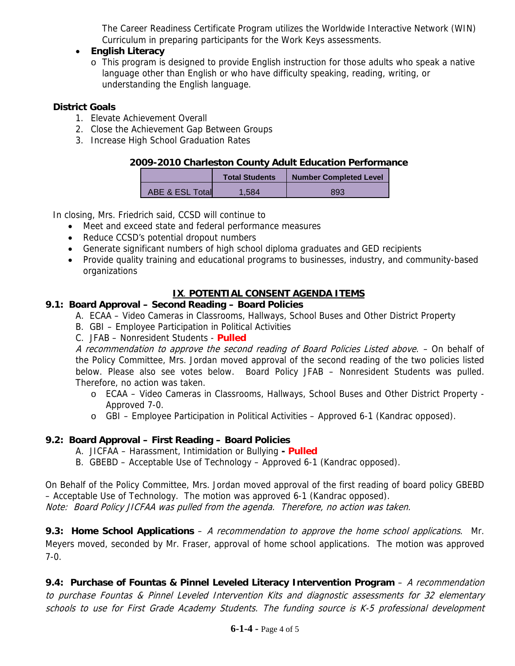The Career Readiness Certificate Program utilizes the Worldwide Interactive Network (WIN) Curriculum in preparing participants for the Work Keys assessments.

### • **English Literacy**

o This program is designed to provide English instruction for those adults who speak a native language other than English or who have difficulty speaking, reading, writing, or understanding the English language.

### **District Goals**

- 1. Elevate Achievement Overall
- 2. Close the Achievement Gap Between Groups
- 3. Increase High School Graduation Rates

### **2009-2010 Charleston County Adult Education Performance**

|                 | <b>Total Students</b> | <b>Number Completed Level</b> |
|-----------------|-----------------------|-------------------------------|
| ABE & ESL Total | 1 584                 | 893                           |

In closing, Mrs. Friedrich said, CCSD will continue to

- Meet and exceed state and federal performance measures
- Reduce CCSD's potential dropout numbers
- Generate significant numbers of high school diploma graduates and GED recipients
- Provide quality training and educational programs to businesses, industry, and community-based organizations

# **IX**. **POTENTIAL CONSENT AGENDA ITEMS**

## **9.1: Board Approval – Second Reading – Board Policies**

- A. ECAA Video Cameras in Classrooms, Hallways, School Buses and Other District Property
- B. GBI Employee Participation in Political Activities
- C. JFAB Nonresident Students **Pulled**

A recommendation to approve the second reading of Board Policies Listed above. - On behalf of the Policy Committee, Mrs. Jordan moved approval of the second reading of the two policies listed below. Please also see votes below. Board Policy JFAB – Nonresident Students was pulled. Therefore, no action was taken.

- o ECAA Video Cameras in Classrooms, Hallways, School Buses and Other District Property Approved 7-0.
- o GBI Employee Participation in Political Activities Approved 6-1 (Kandrac opposed).

## **9.2: Board Approval – First Reading – Board Policies**

- A. JICFAA Harassment, Intimidation or Bullying  **Pulled**
- B. GBEBD Acceptable Use of Technology Approved 6-1 (Kandrac opposed).

On Behalf of the Policy Committee, Mrs. Jordan moved approval of the first reading of board policy GBEBD – Acceptable Use of Technology. The motion was approved 6-1 (Kandrac opposed). Note: Board Policy JICFAA was pulled from the agenda. Therefore, no action was taken.

**9.3: Home School Applications** – A recommendation to approve the home school applications. Mr. Meyers moved, seconded by Mr. Fraser, approval of home school applications. The motion was approved 7-0.

**9.4: Purchase of Fountas & Pinnel Leveled Literacy Intervention Program** – A recommendation to purchase Fountas & Pinnel Leveled Intervention Kits and diagnostic assessments for 32 elementary schools to use for First Grade Academy Students. The funding source is K-5 professional development